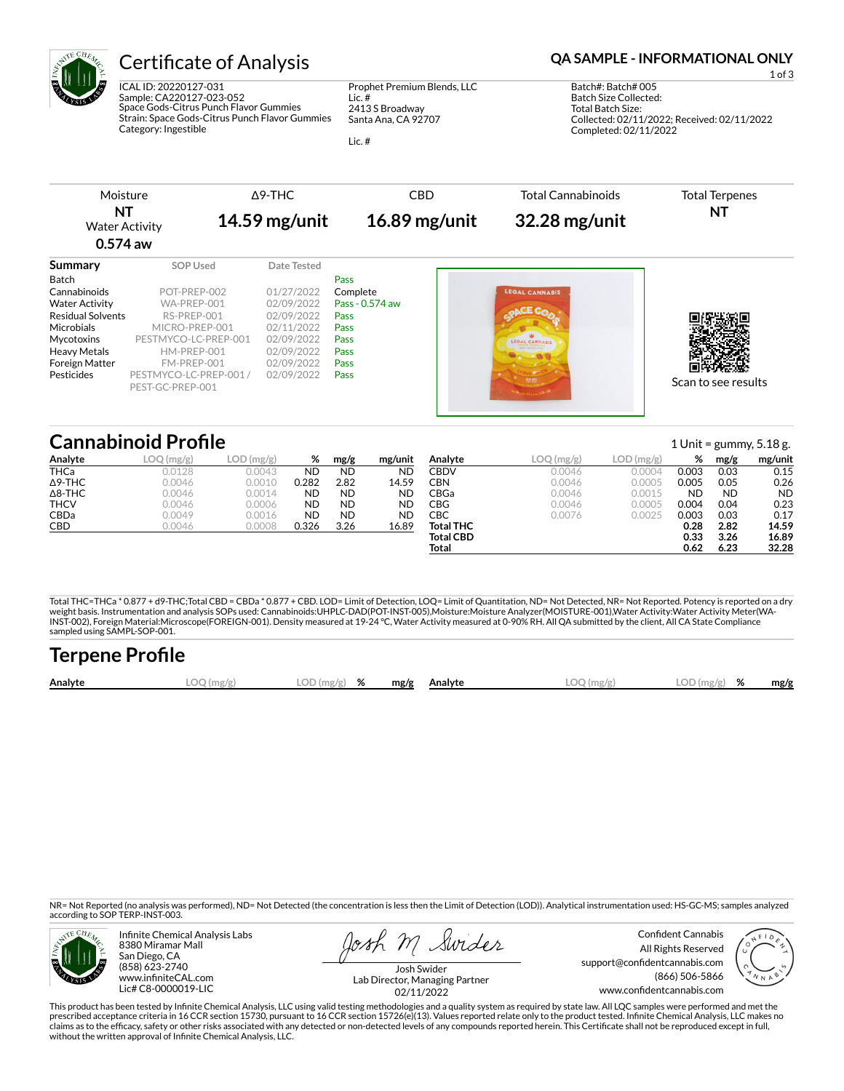

ICAL ID: 20220127-031 Sample: CA220127-023-052 Space Gods-Citrus Punch Flavor Gummies Strain: Space Gods-Citrus Punch Flavor Gummies Category: Ingestible

Prophet Premium Blends, LLC Lic. # 2413 S Broadway Santa Ana, CA 92707

Lic. #

## Certificate of Analysis **Certificate of Analysis QA SAMPLE - INFORMATIONAL ONLY**

1 of 3 Batch#: Batch# 005 Batch Size Collected: Total Batch Size: Collected: 02/11/2022; Received: 02/11/2022 Completed: 02/11/2022

Δ9-THC CBD Total Cannabinoids Moisture Total Terpenes **NT NT 14.59 mg/unit 16.89 mg/unit 32.28 mg/unit** Water Activity **0.574 aw Summary SOP Used** Date Tested Batch **Pass** Cannabinoids POT-PREP-002 01/27/2022 Complete **Water Activity WA-PREP-001** 02/09/2022 **Pass - 0.574 aw** П G

| <b>VVALET ACLIVILY</b>   | VVA-FREF-UUL          |            | $UZ/UZ/ZUZZ$ rdss = 0.374 dW |                     |
|--------------------------|-----------------------|------------|------------------------------|---------------------|
| <b>Residual Solvents</b> | RS-PREP-001           | 02/09/2022 | <b>Pass</b>                  |                     |
| Microbials               | MICRO-PREP-001        | 02/11/2022 | Pass                         |                     |
| Mvcotoxins               | PESTMYCO-LC-PREP-001  | 02/09/2022 | Pass                         |                     |
| Heavy Metals             | HM-PREP-001           | 02/09/2022 | Pass                         |                     |
| Foreign Matter           | FM-PREP-001           | 02/09/2022 | <b>Pass</b>                  |                     |
| Pesticides               | PESTMYCO-LC-PREP-001/ | 02/09/2022 | Pass                         |                     |
|                          | PEST-GC-PREP-001      |            |                              | Scan to see results |
|                          |                       |            |                              |                     |

## **Cannabinoid Profile** 1 Unit = gummy, 5.18 g.

|                | <u>Camaphola i Iome</u> |           |       |           |           |                  |              |           | ᆂᇦᄖᄔ      |           | 54111111, 31105 |
|----------------|-------------------------|-----------|-------|-----------|-----------|------------------|--------------|-----------|-----------|-----------|-----------------|
| Analyte        | LOQ(mg/g)               | LOD(mg/g) | %     | mg/g      | mg/unit   | Analyte          | $LOQ$ (mg/g) | LOD(mg/g) | %         | mg/g      | mg/unit         |
| <b>THCa</b>    | 0.0128                  | 0.0043    | ND    | ND        | <b>ND</b> | CBDV             | 0.0046       | 0.0004    | 0.003     | 0.03      | 0.15            |
| $\Delta$ 9-THC | 0.0046                  | 0.0010    | 0.282 | 2.82      | 14.59     | CBN              | 0.0046       | 0.0005    | 0.005     | 0.05      | 0.26            |
| $\Delta$ 8-THC | 0.0046                  | 0.0014    | ND    | <b>ND</b> | <b>ND</b> | CBGa             | 0.0046       | 0.0015    | <b>ND</b> | <b>ND</b> | <b>ND</b>       |
| <b>THCV</b>    | 0.0046                  | 0.0006    | ND    | <b>ND</b> | <b>ND</b> | CBG              | 0.0046       | 0.0005    | 0.004     | 0.04      | 0.23            |
| <b>CBDa</b>    | 0.0049                  | 0.0016    | ND    | ND        | <b>ND</b> | СВС              | 0.0076       | 0.0025    | 0.003     | 0.03      | 0.17            |
| CBD            | 0.0046                  | 0.0008    | 0.326 | 3.26      | 16.89     | <b>Total THC</b> |              |           | 0.28      | 2.82      | 14.59           |
|                |                         |           |       |           |           | <b>Total CBD</b> |              |           | 0.33      | 3.26      | 16.89           |
|                |                         |           |       |           |           | Total            |              |           | 0.62      | 6.23      | 32.28           |

Total THC=THCa \* 0.877 + d9-THC;Total CBD = CBDa \* 0.877 + CBD. LOD= Limit of Detection, LOQ= Limit of Quantitation, ND= Not Detected, NR= Not Reported. Potency is reported on a dry<br>weight basis. Instrumentation and analys weight basis. Instrumentation and analysis SOPs used: Cannabinoids:UHPLC-DAD(POT-INST-005),Moisture:Moisture Analyzer(MOISTURE-001),Water Activity:Water Activity Meter(WA-<br>INST-002), Foreign Material:Microscope(FOREIGN-001

| <b>Terpene Profile</b> |           |               |      |         |              |               |      |
|------------------------|-----------|---------------|------|---------|--------------|---------------|------|
| Analyte                | LOG(mg/g) | $LOD(mg/g)$ % | mg/g | Analyte | $LOQ$ (mg/g) | $LOD(mg/g)$ % | mg/g |

NR= Not Reported (no analysis was performed), ND= Not Detected (the concentration is less then the Limit of Detection (LOD)). Analytical instrumentation used: HS-GC-MS; samples analyzed according to SOP TERP-INST-003.



Infinite Chemical Analysis Labs 8380 Miramar Mall San Diego, CA (858) 623-2740 www.infiniteCAL.com Lic# C8-0000019-LIC

osh M Swider

Confident Cannabis All Rights Reserved support@confidentcannabis.com (866) 506-5866 www.confidentcannabis.com



Josh Swider Lab Director, Managing Partner 02/11/2022

This product has been tested by Infinite Chemical Analysis, LLC using valid testing methodologies and a quality system as required by state law. All LQC samples were performed and met the prescribed acceptance criteria in 16 CCR section 15730, pursuant to 16 CCR section 15726(e)(13). Values reported relate only to the product tested. Infinite Chemical Analysis, LLC makes no<br>claims as to the efficacy, safety without the written approval of Infinite Chemical Analysis, LLC.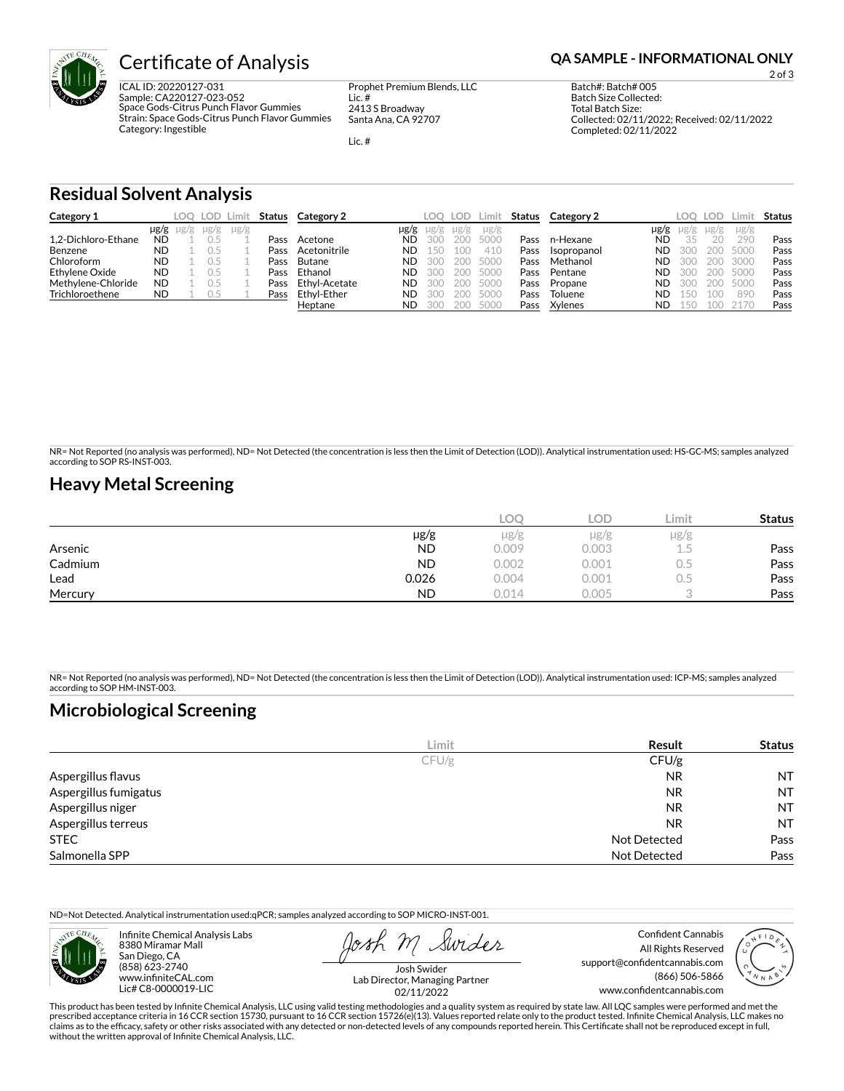

ICAL ID: 20220127-031 Sample: CA220127-023-052 Space Gods-Citrus Punch Flavor Gummies Strain: Space Gods-Citrus Punch Flavor Gummies Category: Ingestible

Prophet Premium Blends, LLC Lic. # 2413 S Broadway Santa Ana, CA 92707

Lic. #

2 of 3

Batch#: Batch# 005 Batch Size Collected: Total Batch Size: Collected: 02/11/2022; Received: 02/11/2022 Completed: 02/11/2022

**Residual Solvent Analysis**

| Category 1          |           | LOO .               | LOD Limit |           |      | Status Category 2 |           | LOO       | LOD. | Limit     | Status | Category 2  |      | LOC       | LOD.      |           | Status |
|---------------------|-----------|---------------------|-----------|-----------|------|-------------------|-----------|-----------|------|-----------|--------|-------------|------|-----------|-----------|-----------|--------|
|                     |           | $\mu$ g/g $\mu$ g/g | $\mu$ g/g | $\mu$ g/g |      |                   | µg/g      | $\mu$ g/g | µg/g | $\mu$ g/g |        |             | µg/g | $\mu$ g/g | $\mu$ g/g | $\mu$ g/g |        |
| 1.2-Dichloro-Ethane | <b>ND</b> |                     |           |           | Pass | Acetone           | <b>ND</b> | 300       | 200  | 5000      | Pass   | n-Hexane    | ND   | 35        | 20        | 290       | Pass   |
| Benzene             | <b>ND</b> |                     |           |           | Pass | Acetonitrile      | <b>ND</b> | 150       | 100  | 410       | Pass   | Isopropanol | ND.  | 300       | 200       | 5000      | Pass   |
| Chloroform          | <b>ND</b> |                     |           |           | Pass | Butane            | <b>ND</b> | 300       | 200  | 5000      | Pass   | Methanol    | ND.  | 300       | 200       | 3000      | Pass   |
| Ethylene Oxide      | <b>ND</b> |                     |           |           | Pass | Ethanol           | <b>ND</b> | 300       | 200  | 5000      | Pass   | Pentane     | ND   | 300       | 200       | 5000      | Pass   |
| Methylene-Chloride  | <b>ND</b> |                     |           |           | Pass | Ethyl-Acetate     | <b>ND</b> | 300       |      | 200 5000  | Pass   | Propane     | ND.  | 300       | 200       | 5000      | Pass   |
| Trichloroethene     | <b>ND</b> |                     | U.5       |           | Pass | Ethyl-Ether       | <b>ND</b> | 300       |      | 200 5000  | Pass   | Toluene     | ND   | 150       | 100       | 890       | Pass   |
|                     |           |                     |           |           |      | Heptane           | <b>ND</b> | 300       |      | 200 5000  | Pass   | Xylenes     | ND   | 150       | 100       | 2170      | Pass   |

NR= Not Reported (no analysis was performed), ND= Not Detected (the concentration is less then the Limit of Detection (LOD)). Analytical instrumentation used: HS-GC-MS; samples analyzed according to SOP RS-INST-003.

### **Heavy Metal Screening**

|         |           | LOO   | <b>LOD</b> | Limit     | <b>Status</b> |
|---------|-----------|-------|------------|-----------|---------------|
|         | $\mu$ g/g | µg/g  | $\mu$ g/g  | $\mu$ g/g |               |
| Arsenic | <b>ND</b> | 0.009 | 0.003      |           | Pass          |
| Cadmium | <b>ND</b> | 0.002 | 0.001      | U.S       | Pass          |
| Lead    | 0.026     | 0.004 | 0.001      | U.5       | Pass          |
| Mercury | <b>ND</b> | 0.014 | 0.005      |           | Pass          |

NR= Not Reported (no analysis was performed), ND= Not Detected (the concentration is less then the Limit of Detection (LOD)). Analytical instrumentation used: ICP-MS; samples analyzed according to SOP HM-INST-003.

## **Microbiological Screening**

|                       | Limit | Result              | <b>Status</b> |
|-----------------------|-------|---------------------|---------------|
|                       | CFU/g | CFU/g               |               |
| Aspergillus flavus    |       | <b>NR</b>           | <b>NT</b>     |
| Aspergillus fumigatus |       | <b>NR</b>           | <b>NT</b>     |
| Aspergillus niger     |       | <b>NR</b>           | NT            |
| Aspergillus terreus   |       | <b>NR</b>           | <b>NT</b>     |
| <b>STEC</b>           |       | Not Detected        | Pass          |
| Salmonella SPP        |       | <b>Not Detected</b> | Pass          |

ND=Not Detected. Analytical instrumentation used:qPCR; samples analyzed according to SOP MICRO-INST-001.



Infinite Chemical Analysis Labs 8380 Miramar Mall San Diego, CA (858) 623-2740 www.infiniteCAL.com Lic# C8-0000019-LIC

Swider

Confident Cannabis All Rights Reserved support@confidentcannabis.com (866) 506-5866 www.confidentcannabis.com



Josh Swider Lab Director, Managing Partner 02/11/2022

This product has been tested by Infinite Chemical Analysis, LLC using valid testing methodologies and a quality system as required by state law. All LQC samples were performed and met the prescribed acceptance criteria in 16 CCR section 15730, pursuant to 16 CCR section 15726(e)(13). Values reported relate only to the product tested. Infinite Chemical Analysis, LLC makes no<br>claims as to the efficacy, safety without the written approval of Infinite Chemical Analysis, LLC.